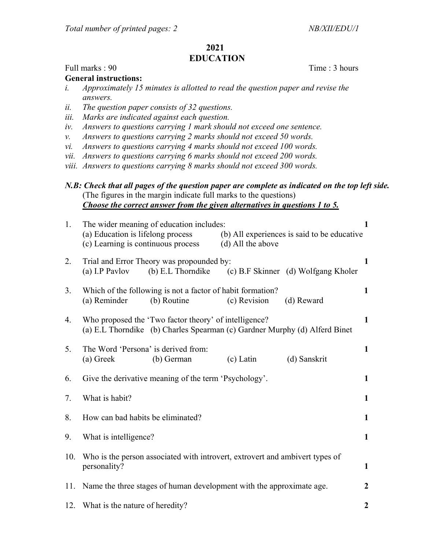## 2021 EDUCATION

## Full marks : 90 Time : 3 hours

## General instructions:

- i. Approximately 15 minutes is allotted to read the question paper and revise the answers.
- ii. The question paper consists of 32 questions.
- iii. Marks are indicated against each question.
- iv. Answers to questions carrying 1 mark should not exceed one sentence.
- v. Answers to questions carrying 2 marks should not exceed 50 words.
- vi. Answers to questions carrying 4 marks should not exceed 100 words.
- vii. Answers to questions carrying 6 marks should not exceed 200 words.
- viii. Answers to questions carrying 8 marks should not exceed 300 words.

N.B: Check that all pages of the question paper are complete as indicated on the top left side. (The figures in the margin indicate full marks to the questions) Choose the correct answer from the given alternatives in questions 1 to 5.

| 1.  | The wider meaning of education includes:<br>(a) Education is lifelong process<br>(c) Learning is continuous process                 |                                                                           | (b) All experiences is said to be educative<br>(d) All the above |              | 1                |
|-----|-------------------------------------------------------------------------------------------------------------------------------------|---------------------------------------------------------------------------|------------------------------------------------------------------|--------------|------------------|
| 2.  | Trial and Error Theory was propounded by:<br>(a) I.P Pavlov<br>(b) E.L Thorndike (c) B.F Skinner (d) Wolfgang Kholer                |                                                                           |                                                                  |              | 1                |
| 3.  | (a) Reminder                                                                                                                        | Which of the following is not a factor of habit formation?<br>(b) Routine | (c) Revision                                                     | (d) Reward   | $\mathbf{1}$     |
| 4.  | Who proposed the 'Two factor theory' of intelligence?<br>(a) E.L Thorndike (b) Charles Spearman (c) Gardner Murphy (d) Alferd Binet |                                                                           |                                                                  |              |                  |
| 5.  | The Word 'Persona' is derived from:<br>(a) Greek                                                                                    | (b) German                                                                | $(c)$ Latin                                                      | (d) Sanskrit | $\mathbf{1}$     |
| 6.  | Give the derivative meaning of the term 'Psychology'.                                                                               |                                                                           |                                                                  |              |                  |
| 7.  | What is habit?                                                                                                                      |                                                                           |                                                                  |              |                  |
| 8.  | How can bad habits be eliminated?                                                                                                   |                                                                           |                                                                  |              |                  |
| 9.  | What is intelligence?                                                                                                               |                                                                           |                                                                  |              | $\mathbf{1}$     |
| 10. | Who is the person associated with introvert, extrovert and ambivert types of<br>personality?                                        |                                                                           |                                                                  |              | $\mathbf{1}$     |
| 11. | Name the three stages of human development with the approximate age.                                                                |                                                                           |                                                                  |              |                  |
|     | 12. What is the nature of heredity?                                                                                                 |                                                                           |                                                                  |              | $\boldsymbol{2}$ |